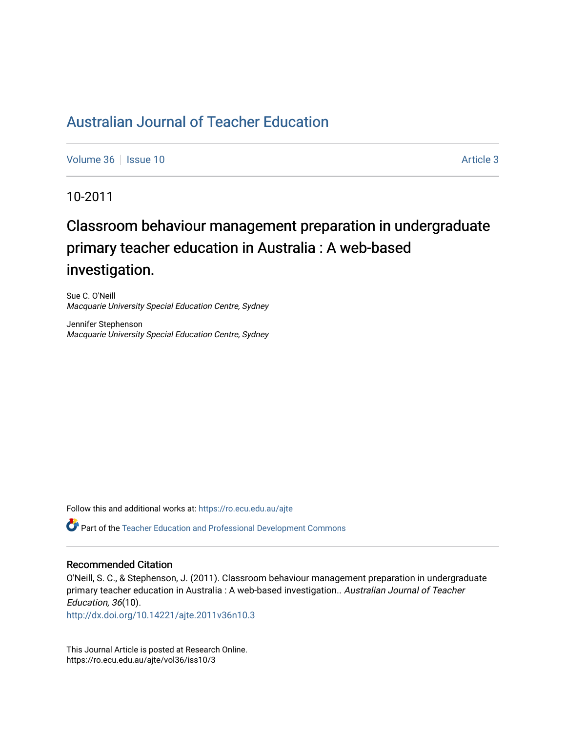## [Australian Journal of Teacher Education](https://ro.ecu.edu.au/ajte)

[Volume 36](https://ro.ecu.edu.au/ajte/vol36) | [Issue 10](https://ro.ecu.edu.au/ajte/vol36/iss10) Article 3

10-2011

# Classroom behaviour management preparation in undergraduate primary teacher education in Australia : A web-based investigation.

Sue C. O'Neill Macquarie University Special Education Centre, Sydney

Jennifer Stephenson Macquarie University Special Education Centre, Sydney

Follow this and additional works at: [https://ro.ecu.edu.au/ajte](https://ro.ecu.edu.au/ajte?utm_source=ro.ecu.edu.au%2Fajte%2Fvol36%2Fiss10%2F3&utm_medium=PDF&utm_campaign=PDFCoverPages) 

Part of the [Teacher Education and Professional Development Commons](http://network.bepress.com/hgg/discipline/803?utm_source=ro.ecu.edu.au%2Fajte%2Fvol36%2Fiss10%2F3&utm_medium=PDF&utm_campaign=PDFCoverPages)

## Recommended Citation

O'Neill, S. C., & Stephenson, J. (2011). Classroom behaviour management preparation in undergraduate primary teacher education in Australia : A web-based investigation.. Australian Journal of Teacher Education, 36(10).

<http://dx.doi.org/10.14221/ajte.2011v36n10.3>

This Journal Article is posted at Research Online. https://ro.ecu.edu.au/ajte/vol36/iss10/3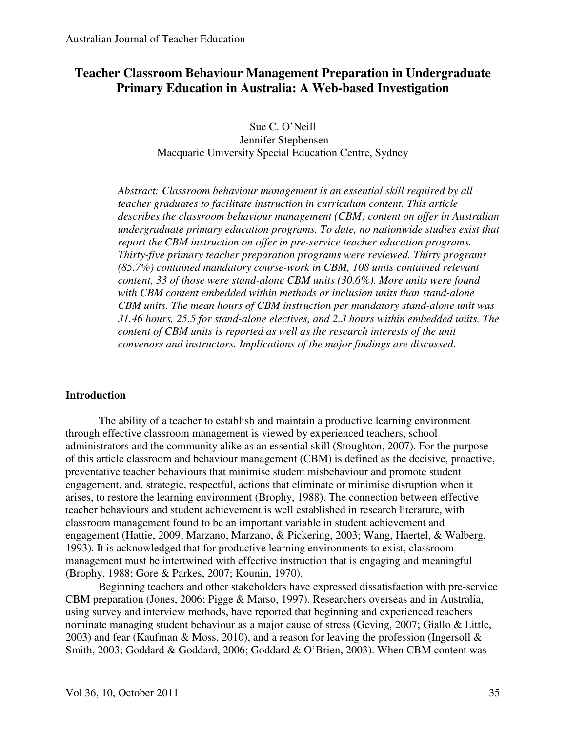## **Teacher Classroom Behaviour Management Preparation in Undergraduate Primary Education in Australia: A Web-based Investigation**

Sue C. O'Neill Jennifer Stephensen Macquarie University Special Education Centre, Sydney

*Abstract: Classroom behaviour management is an essential skill required by all teacher graduates to facilitate instruction in curriculum content. This article describes the classroom behaviour management (CBM) content on offer in Australian undergraduate primary education programs. To date, no nationwide studies exist that report the CBM instruction on offer in pre-service teacher education programs. Thirty-five primary teacher preparation programs were reviewed. Thirty programs (85.7%) contained mandatory course-work in CBM, 108 units contained relevant content, 33 of those were stand-alone CBM units (30.6%). More units were found with CBM content embedded within methods or inclusion units than stand-alone CBM units. The mean hours of CBM instruction per mandatory stand-alone unit was 31.46 hours, 25.5 for stand-alone electives, and 2.3 hours within embedded units. The content of CBM units is reported as well as the research interests of the unit convenors and instructors. Implications of the major findings are discussed*.

## **Introduction**

The ability of a teacher to establish and maintain a productive learning environment through effective classroom management is viewed by experienced teachers, school administrators and the community alike as an essential skill (Stoughton, 2007). For the purpose of this article classroom and behaviour management (CBM) is defined as the decisive, proactive, preventative teacher behaviours that minimise student misbehaviour and promote student engagement, and, strategic, respectful, actions that eliminate or minimise disruption when it arises, to restore the learning environment (Brophy, 1988). The connection between effective teacher behaviours and student achievement is well established in research literature, with classroom management found to be an important variable in student achievement and engagement (Hattie, 2009; Marzano, Marzano, & Pickering, 2003; Wang, Haertel, & Walberg, 1993). It is acknowledged that for productive learning environments to exist, classroom management must be intertwined with effective instruction that is engaging and meaningful (Brophy, 1988; Gore & Parkes, 2007; Kounin, 1970).

Beginning teachers and other stakeholders have expressed dissatisfaction with pre-service CBM preparation (Jones, 2006; Pigge & Marso, 1997). Researchers overseas and in Australia, using survey and interview methods, have reported that beginning and experienced teachers nominate managing student behaviour as a major cause of stress (Geving, 2007; Giallo & Little, 2003) and fear (Kaufman & Moss, 2010), and a reason for leaving the profession (Ingersoll  $\&$ Smith, 2003; Goddard & Goddard, 2006; Goddard & O'Brien, 2003). When CBM content was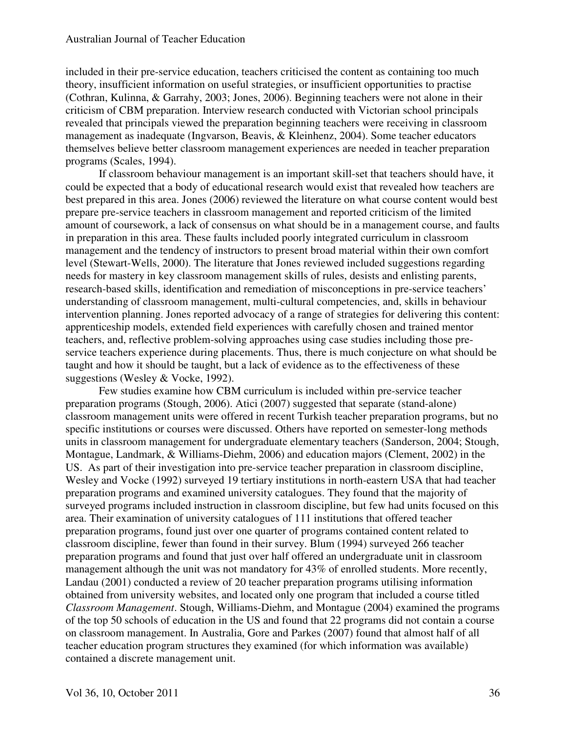included in their pre-service education, teachers criticised the content as containing too much theory, insufficient information on useful strategies, or insufficient opportunities to practise (Cothran, Kulinna, & Garrahy, 2003; Jones, 2006). Beginning teachers were not alone in their criticism of CBM preparation. Interview research conducted with Victorian school principals revealed that principals viewed the preparation beginning teachers were receiving in classroom management as inadequate (Ingvarson, Beavis, & Kleinhenz, 2004). Some teacher educators themselves believe better classroom management experiences are needed in teacher preparation programs (Scales, 1994).

 If classroom behaviour management is an important skill-set that teachers should have, it could be expected that a body of educational research would exist that revealed how teachers are best prepared in this area. Jones (2006) reviewed the literature on what course content would best prepare pre-service teachers in classroom management and reported criticism of the limited amount of coursework, a lack of consensus on what should be in a management course, and faults in preparation in this area. These faults included poorly integrated curriculum in classroom management and the tendency of instructors to present broad material within their own comfort level (Stewart-Wells, 2000). The literature that Jones reviewed included suggestions regarding needs for mastery in key classroom management skills of rules, desists and enlisting parents, research-based skills, identification and remediation of misconceptions in pre-service teachers' understanding of classroom management, multi-cultural competencies, and, skills in behaviour intervention planning. Jones reported advocacy of a range of strategies for delivering this content: apprenticeship models, extended field experiences with carefully chosen and trained mentor teachers, and, reflective problem-solving approaches using case studies including those preservice teachers experience during placements. Thus, there is much conjecture on what should be taught and how it should be taught, but a lack of evidence as to the effectiveness of these suggestions (Wesley & Vocke, 1992).

 Few studies examine how CBM curriculum is included within pre-service teacher preparation programs (Stough, 2006). Atici (2007) suggested that separate (stand-alone) classroom management units were offered in recent Turkish teacher preparation programs, but no specific institutions or courses were discussed. Others have reported on semester-long methods units in classroom management for undergraduate elementary teachers (Sanderson, 2004; Stough, Montague, Landmark, & Williams-Diehm, 2006) and education majors (Clement, 2002) in the US. As part of their investigation into pre-service teacher preparation in classroom discipline, Wesley and Vocke (1992) surveyed 19 tertiary institutions in north-eastern USA that had teacher preparation programs and examined university catalogues. They found that the majority of surveyed programs included instruction in classroom discipline, but few had units focused on this area. Their examination of university catalogues of 111 institutions that offered teacher preparation programs, found just over one quarter of programs contained content related to classroom discipline, fewer than found in their survey. Blum (1994) surveyed 266 teacher preparation programs and found that just over half offered an undergraduate unit in classroom management although the unit was not mandatory for 43% of enrolled students. More recently, Landau (2001) conducted a review of 20 teacher preparation programs utilising information obtained from university websites, and located only one program that included a course titled *Classroom Management*. Stough, Williams-Diehm, and Montague (2004) examined the programs of the top 50 schools of education in the US and found that 22 programs did not contain a course on classroom management. In Australia, Gore and Parkes (2007) found that almost half of all teacher education program structures they examined (for which information was available) contained a discrete management unit.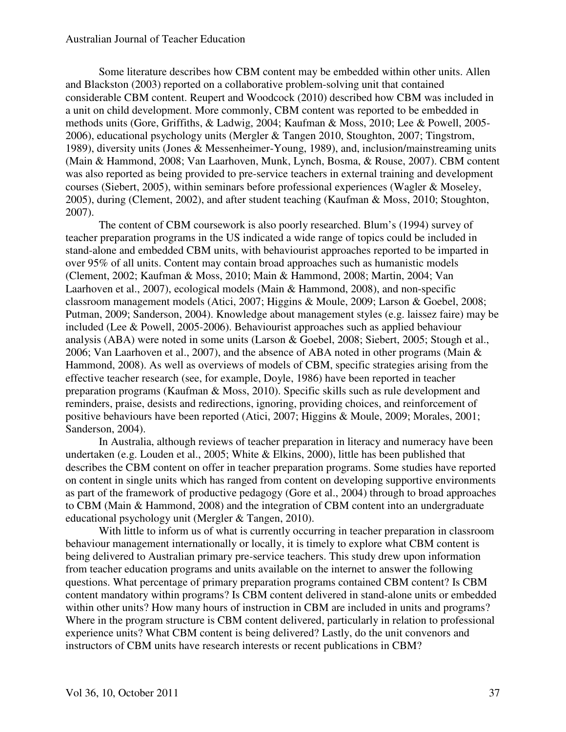Some literature describes how CBM content may be embedded within other units. Allen and Blackston (2003) reported on a collaborative problem-solving unit that contained considerable CBM content. Reupert and Woodcock (2010) described how CBM was included in a unit on child development. More commonly, CBM content was reported to be embedded in methods units (Gore, Griffiths, & Ladwig, 2004; Kaufman & Moss, 2010; Lee & Powell, 2005- 2006), educational psychology units (Mergler & Tangen 2010, Stoughton, 2007; Tingstrom, 1989), diversity units (Jones & Messenheimer-Young, 1989), and, inclusion/mainstreaming units (Main & Hammond, 2008; Van Laarhoven, Munk, Lynch, Bosma, & Rouse, 2007). CBM content was also reported as being provided to pre-service teachers in external training and development courses (Siebert, 2005), within seminars before professional experiences (Wagler & Moseley, 2005), during (Clement, 2002), and after student teaching (Kaufman & Moss, 2010; Stoughton, 2007).

The content of CBM coursework is also poorly researched. Blum's (1994) survey of teacher preparation programs in the US indicated a wide range of topics could be included in stand-alone and embedded CBM units, with behaviourist approaches reported to be imparted in over 95% of all units. Content may contain broad approaches such as humanistic models (Clement, 2002; Kaufman & Moss, 2010; Main & Hammond, 2008; Martin, 2004; Van Laarhoven et al., 2007), ecological models (Main & Hammond, 2008), and non-specific classroom management models (Atici, 2007; Higgins & Moule, 2009; Larson & Goebel, 2008; Putman, 2009; Sanderson, 2004). Knowledge about management styles (e.g. laissez faire) may be included (Lee & Powell, 2005-2006). Behaviourist approaches such as applied behaviour analysis (ABA) were noted in some units (Larson & Goebel, 2008; Siebert, 2005; Stough et al., 2006; Van Laarhoven et al., 2007), and the absence of ABA noted in other programs (Main & Hammond, 2008). As well as overviews of models of CBM, specific strategies arising from the effective teacher research (see, for example, Doyle, 1986) have been reported in teacher preparation programs (Kaufman & Moss, 2010). Specific skills such as rule development and reminders, praise, desists and redirections, ignoring, providing choices, and reinforcement of positive behaviours have been reported (Atici, 2007; Higgins & Moule, 2009; Morales, 2001; Sanderson, 2004).

In Australia, although reviews of teacher preparation in literacy and numeracy have been undertaken (e.g. Louden et al., 2005; White & Elkins, 2000), little has been published that describes the CBM content on offer in teacher preparation programs. Some studies have reported on content in single units which has ranged from content on developing supportive environments as part of the framework of productive pedagogy (Gore et al., 2004) through to broad approaches to CBM (Main & Hammond, 2008) and the integration of CBM content into an undergraduate educational psychology unit (Mergler & Tangen, 2010).

With little to inform us of what is currently occurring in teacher preparation in classroom behaviour management internationally or locally, it is timely to explore what CBM content is being delivered to Australian primary pre-service teachers. This study drew upon information from teacher education programs and units available on the internet to answer the following questions. What percentage of primary preparation programs contained CBM content? Is CBM content mandatory within programs? Is CBM content delivered in stand-alone units or embedded within other units? How many hours of instruction in CBM are included in units and programs? Where in the program structure is CBM content delivered, particularly in relation to professional experience units? What CBM content is being delivered? Lastly, do the unit convenors and instructors of CBM units have research interests or recent publications in CBM?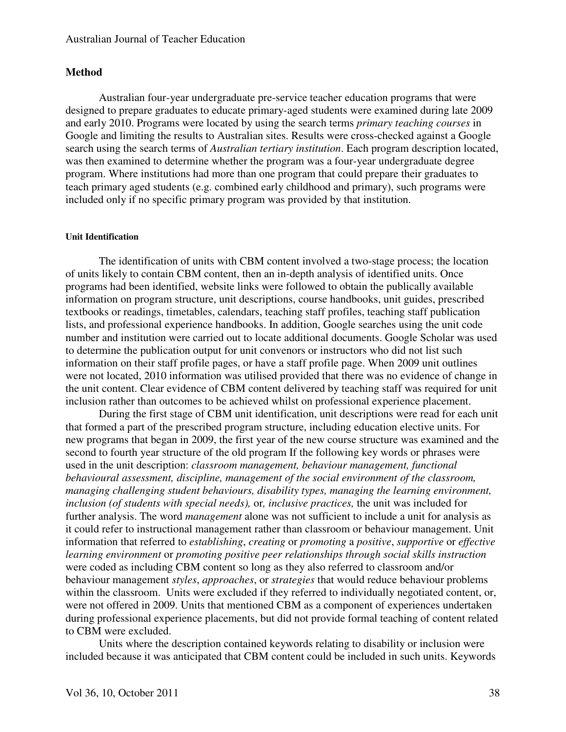## **Method**

Australian four-year undergraduate pre-service teacher education programs that were designed to prepare graduates to educate primary-aged students were examined during late 2009 and early 2010. Programs were located by using the search terms *primary teaching courses* in Google and limiting the results to Australian sites. Results were cross-checked against a Google search using the search terms of *Australian tertiary institution*. Each program description located, was then examined to determine whether the program was a four-year undergraduate degree program. Where institutions had more than one program that could prepare their graduates to teach primary aged students (e.g. combined early childhood and primary), such programs were included only if no specific primary program was provided by that institution.

## **Unit Identification**

The identification of units with CBM content involved a two-stage process; the location of units likely to contain CBM content, then an in-depth analysis of identified units. Once programs had been identified, website links were followed to obtain the publically available information on program structure, unit descriptions, course handbooks, unit guides, prescribed textbooks or readings, timetables, calendars, teaching staff profiles, teaching staff publication lists, and professional experience handbooks. In addition, Google searches using the unit code number and institution were carried out to locate additional documents. Google Scholar was used to determine the publication output for unit convenors or instructors who did not list such information on their staff profile pages, or have a staff profile page. When 2009 unit outlines were not located, 2010 information was utilised provided that there was no evidence of change in the unit content. Clear evidence of CBM content delivered by teaching staff was required for unit inclusion rather than outcomes to be achieved whilst on professional experience placement.

During the first stage of CBM unit identification, unit descriptions were read for each unit that formed a part of the prescribed program structure, including education elective units. For new programs that began in 2009, the first year of the new course structure was examined and the second to fourth year structure of the old program If the following key words or phrases were used in the unit description: *classroom management, behaviour management, functional behavioural assessment, discipline, management of the social environment of the classroom, managing challenging student behaviours, disability types, managing the learning environment, inclusion (of students with special needs),* or*, inclusive practices,* the unit was included for further analysis. The word *management* alone was not sufficient to include a unit for analysis as it could refer to instructional management rather than classroom or behaviour management. Unit information that referred to *establishing*, *creating* or *promoting* a *positive*, *supportive* or *effective learning environment* or *promoting positive peer relationships through social skills instruction* were coded as including CBM content so long as they also referred to classroom and/or behaviour management *styles*, *approaches*, or *strategies* that would reduce behaviour problems within the classroom. Units were excluded if they referred to individually negotiated content, or, were not offered in 2009. Units that mentioned CBM as a component of experiences undertaken during professional experience placements, but did not provide formal teaching of content related to CBM were excluded.

Units where the description contained keywords relating to disability or inclusion were included because it was anticipated that CBM content could be included in such units. Keywords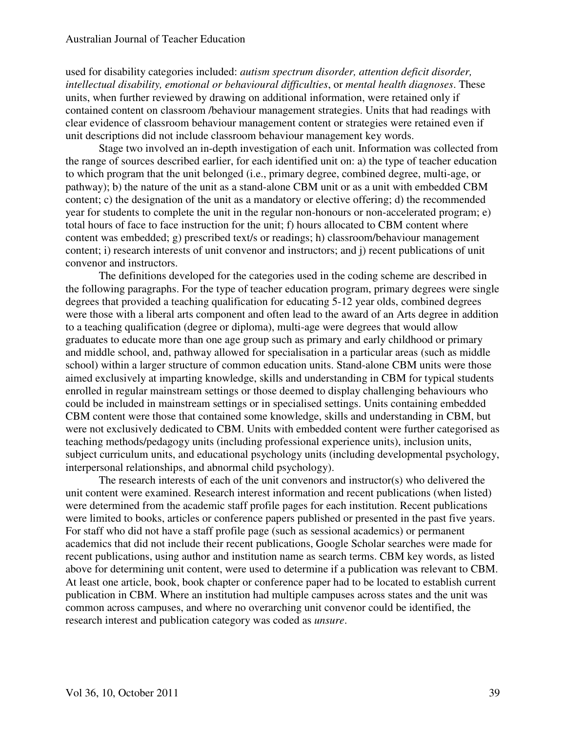used for disability categories included: *autism spectrum disorder, attention deficit disorder, intellectual disability, emotional or behavioural difficulties*, or *mental health diagnoses*. These units, when further reviewed by drawing on additional information, were retained only if contained content on classroom /behaviour management strategies. Units that had readings with clear evidence of classroom behaviour management content or strategies were retained even if unit descriptions did not include classroom behaviour management key words.

Stage two involved an in-depth investigation of each unit. Information was collected from the range of sources described earlier, for each identified unit on: a) the type of teacher education to which program that the unit belonged (i.e., primary degree, combined degree, multi-age, or pathway); b) the nature of the unit as a stand-alone CBM unit or as a unit with embedded CBM content; c) the designation of the unit as a mandatory or elective offering; d) the recommended year for students to complete the unit in the regular non-honours or non-accelerated program; e) total hours of face to face instruction for the unit; f) hours allocated to CBM content where content was embedded; g) prescribed text/s or readings; h) classroom/behaviour management content; i) research interests of unit convenor and instructors; and j) recent publications of unit convenor and instructors.

The definitions developed for the categories used in the coding scheme are described in the following paragraphs. For the type of teacher education program, primary degrees were single degrees that provided a teaching qualification for educating 5-12 year olds, combined degrees were those with a liberal arts component and often lead to the award of an Arts degree in addition to a teaching qualification (degree or diploma), multi-age were degrees that would allow graduates to educate more than one age group such as primary and early childhood or primary and middle school, and, pathway allowed for specialisation in a particular areas (such as middle school) within a larger structure of common education units. Stand-alone CBM units were those aimed exclusively at imparting knowledge, skills and understanding in CBM for typical students enrolled in regular mainstream settings or those deemed to display challenging behaviours who could be included in mainstream settings or in specialised settings. Units containing embedded CBM content were those that contained some knowledge, skills and understanding in CBM, but were not exclusively dedicated to CBM. Units with embedded content were further categorised as teaching methods/pedagogy units (including professional experience units), inclusion units, subject curriculum units, and educational psychology units (including developmental psychology, interpersonal relationships, and abnormal child psychology).

The research interests of each of the unit convenors and instructor(s) who delivered the unit content were examined. Research interest information and recent publications (when listed) were determined from the academic staff profile pages for each institution. Recent publications were limited to books, articles or conference papers published or presented in the past five years. For staff who did not have a staff profile page (such as sessional academics) or permanent academics that did not include their recent publications, Google Scholar searches were made for recent publications, using author and institution name as search terms. CBM key words, as listed above for determining unit content, were used to determine if a publication was relevant to CBM. At least one article, book, book chapter or conference paper had to be located to establish current publication in CBM. Where an institution had multiple campuses across states and the unit was common across campuses, and where no overarching unit convenor could be identified, the research interest and publication category was coded as *unsure*.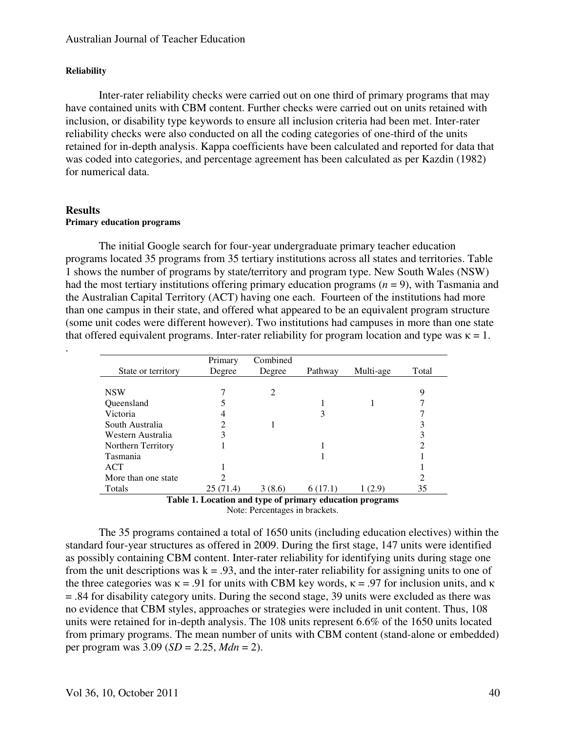## **Reliability**

.

Inter-rater reliability checks were carried out on one third of primary programs that may have contained units with CBM content. Further checks were carried out on units retained with inclusion, or disability type keywords to ensure all inclusion criteria had been met. Inter-rater reliability checks were also conducted on all the coding categories of one-third of the units retained for in-depth analysis. Kappa coefficients have been calculated and reported for data that was coded into categories, and percentage agreement has been calculated as per Kazdin (1982) for numerical data.

## **Results Primary education programs**

The initial Google search for four-year undergraduate primary teacher education programs located 35 programs from 35 tertiary institutions across all states and territories. Table 1 shows the number of programs by state/territory and program type. New South Wales (NSW) had the most tertiary institutions offering primary education programs (*n* = 9), with Tasmania and the Australian Capital Territory (ACT) having one each. Fourteen of the institutions had more than one campus in their state, and offered what appeared to be an equivalent program structure (some unit codes were different however). Two institutions had campuses in more than one state that offered equivalent programs. Inter-rater reliability for program location and type was  $\kappa = 1$ .

|                                                          | Primary  | Combined                    |          |           |       |
|----------------------------------------------------------|----------|-----------------------------|----------|-----------|-------|
| State or territory                                       | Degree   | Degree                      | Pathway  | Multi-age | Total |
|                                                          |          |                             |          |           |       |
| <b>NSW</b>                                               |          | $\mathcal{D}_{\mathcal{L}}$ |          |           | 9     |
| <b>Oueensland</b>                                        |          |                             |          |           |       |
| Victoria                                                 | 4        |                             | 3        |           |       |
| South Australia                                          | 2        |                             |          |           |       |
| Western Australia                                        | 3        |                             |          |           |       |
| Northern Territory                                       |          |                             |          |           |       |
| Tasmania                                                 |          |                             |          |           |       |
| ACT                                                      |          |                             |          |           |       |
| More than one state                                      | റ        |                             |          |           | 2     |
| Totals                                                   | 25(71.4) | 3(8.6)                      | 6 (17.1) | 1(2.9)    | 35    |
| Table 1. Location and type of primary education programs |          |                             |          |           |       |

**Table 1. Location and type of primary education programs**  Note: Percentages in brackets.

The 35 programs contained a total of 1650 units (including education electives) within the standard four-year structures as offered in 2009. During the first stage, 147 units were identified as possibly containing CBM content. Inter-rater reliability for identifying units during stage one from the unit descriptions was  $k = 0.93$ , and the inter-rater reliability for assigning units to one of the three categories was  $\kappa = .91$  for units with CBM key words,  $\kappa = .97$  for inclusion units, and  $\kappa$ = .84 for disability category units. During the second stage, 39 units were excluded as there was no evidence that CBM styles, approaches or strategies were included in unit content. Thus, 108 units were retained for in-depth analysis. The 108 units represent 6.6% of the 1650 units located from primary programs. The mean number of units with CBM content (stand-alone or embedded) per program was 3.09 (*SD* = 2.25, *Mdn* = 2).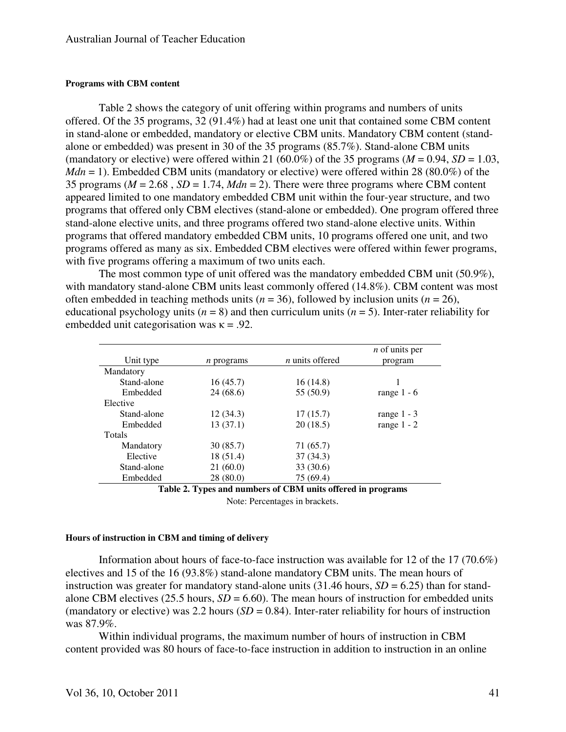#### **Programs with CBM content**

Table 2 shows the category of unit offering within programs and numbers of units offered. Of the 35 programs, 32 (91.4%) had at least one unit that contained some CBM content in stand-alone or embedded, mandatory or elective CBM units. Mandatory CBM content (standalone or embedded) was present in 30 of the 35 programs (85.7%). Stand-alone CBM units (mandatory or elective) were offered within 21 (60.0%) of the 35 programs ( $M = 0.94$ ,  $SD = 1.03$ , *Mdn* = 1). Embedded CBM units (mandatory or elective) were offered within 28 (80.0%) of the 35 programs ( $M = 2.68$ ,  $SD = 1.74$ ,  $Mdn = 2$ ). There were three programs where CBM content appeared limited to one mandatory embedded CBM unit within the four-year structure, and two programs that offered only CBM electives (stand-alone or embedded). One program offered three stand-alone elective units, and three programs offered two stand-alone elective units. Within programs that offered mandatory embedded CBM units, 10 programs offered one unit, and two programs offered as many as six. Embedded CBM electives were offered within fewer programs, with five programs offering a maximum of two units each.

The most common type of unit offered was the mandatory embedded CBM unit (50.9%), with mandatory stand-alone CBM units least commonly offered (14.8%). CBM content was most often embedded in teaching methods units ( $n = 36$ ), followed by inclusion units ( $n = 26$ ), educational psychology units ( $n = 8$ ) and then curriculum units ( $n = 5$ ). Inter-rater reliability for embedded unit categorisation was  $\kappa = .92$ .

|                                                                                                                 |                   |                        | $n$ of units per |  |
|-----------------------------------------------------------------------------------------------------------------|-------------------|------------------------|------------------|--|
| Unit type                                                                                                       | <i>n</i> programs | <i>n</i> units offered | program          |  |
| Mandatory                                                                                                       |                   |                        |                  |  |
| Stand-alone                                                                                                     | 16(45.7)          | 16(14.8)               |                  |  |
| Embedded                                                                                                        | 24 (68.6)         | 55 (50.9)              | range $1 - 6$    |  |
| Elective                                                                                                        |                   |                        |                  |  |
| Stand-alone                                                                                                     | 12(34.3)          | 17(15.7)               | range $1 - 3$    |  |
| Embedded                                                                                                        | 13(37.1)          | 20(18.5)               | range $1 - 2$    |  |
| Totals                                                                                                          |                   |                        |                  |  |
| Mandatory                                                                                                       | 30(85.7)          | 71 (65.7)              |                  |  |
| Elective                                                                                                        | 18 (51.4)         | 37 (34.3)              |                  |  |
| Stand-alone                                                                                                     | 21 (60.0)         | 33 (30.6)              |                  |  |
| Embedded                                                                                                        | 28(80.0)          | 75 (69.4)              |                  |  |
| $T1.1.1.1.$ The contract of $T$ and $T$ and $T$ and $T$ and $T$ and $T$ and $T$ and $T$ and $T$ and $T$ and $T$ |                   |                        |                  |  |

**Table 2. Types and numbers of CBM units offered in programs** 

Note: Percentages in brackets.

#### **Hours of instruction in CBM and timing of delivery**

Information about hours of face-to-face instruction was available for 12 of the 17 (70.6%) electives and 15 of the 16 (93.8%) stand-alone mandatory CBM units. The mean hours of instruction was greater for mandatory stand-alone units  $(31.46 \text{ hours}, SD = 6.25)$  than for standalone CBM electives (25.5 hours,  $SD = 6.60$ ). The mean hours of instruction for embedded units (mandatory or elective) was 2.2 hours  $(SD = 0.84)$ . Inter-rater reliability for hours of instruction was 87.9%.

Within individual programs, the maximum number of hours of instruction in CBM content provided was 80 hours of face-to-face instruction in addition to instruction in an online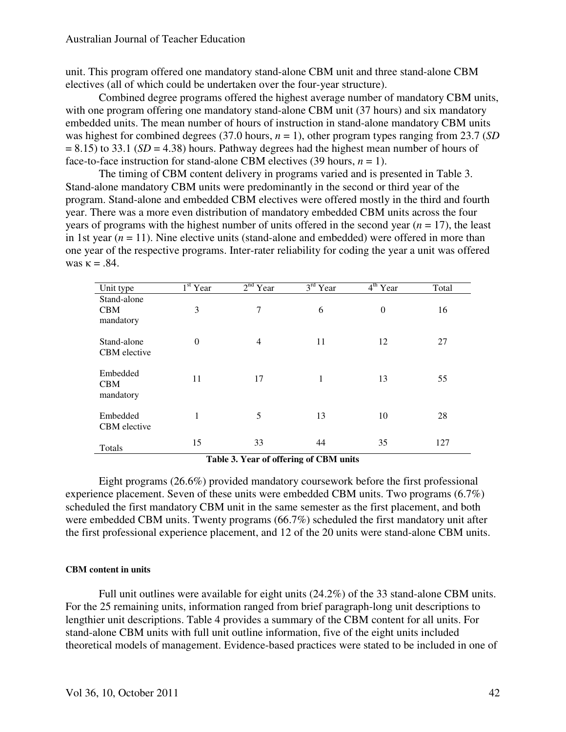unit. This program offered one mandatory stand-alone CBM unit and three stand-alone CBM electives (all of which could be undertaken over the four-year structure).

Combined degree programs offered the highest average number of mandatory CBM units, with one program offering one mandatory stand-alone CBM unit (37 hours) and six mandatory embedded units. The mean number of hours of instruction in stand-alone mandatory CBM units was highest for combined degrees (37.0 hours,  $n = 1$ ), other program types ranging from 23.7 (*SD*)  $= 8.15$ ) to 33.1 (*SD* = 4.38) hours. Pathway degrees had the highest mean number of hours of face-to-face instruction for stand-alone CBM electives (39 hours,  $n = 1$ ).

The timing of CBM content delivery in programs varied and is presented in Table 3. Stand-alone mandatory CBM units were predominantly in the second or third year of the program. Stand-alone and embedded CBM electives were offered mostly in the third and fourth year. There was a more even distribution of mandatory embedded CBM units across the four years of programs with the highest number of units offered in the second year  $(n = 17)$ , the least in 1st year  $(n = 11)$ . Nine elective units (stand-alone and embedded) were offered in more than one year of the respective programs. Inter-rater reliability for coding the year a unit was offered was  $\kappa = .84$ .

| Unit type                           | $1st$ Year | 2 <sup>nd</sup> Year | $3rd$ Year | $4th$ Year | Total |
|-------------------------------------|------------|----------------------|------------|------------|-------|
| Stand-alone<br>CBM<br>mandatory     | 3          | 7                    | 6          | $\theta$   | 16    |
| Stand-alone<br><b>CBM</b> elective  | $\theta$   | $\overline{4}$       | 11         | 12         | 27    |
| Embedded<br><b>CBM</b><br>mandatory | 11         | 17                   | 1          | 13         | 55    |
| Embedded<br><b>CBM</b> elective     | 1          | 5                    | 13         | 10         | 28    |
| Totals                              | 15         | 33                   | 44         | 35         | 127   |

**Table 3. Year of offering of CBM units** 

Eight programs (26.6%) provided mandatory coursework before the first professional experience placement. Seven of these units were embedded CBM units. Two programs (6.7%) scheduled the first mandatory CBM unit in the same semester as the first placement, and both were embedded CBM units. Twenty programs (66.7%) scheduled the first mandatory unit after the first professional experience placement, and 12 of the 20 units were stand-alone CBM units.

## **CBM content in units**

Full unit outlines were available for eight units (24.2%) of the 33 stand-alone CBM units. For the 25 remaining units, information ranged from brief paragraph-long unit descriptions to lengthier unit descriptions. Table 4 provides a summary of the CBM content for all units. For stand-alone CBM units with full unit outline information, five of the eight units included theoretical models of management. Evidence-based practices were stated to be included in one of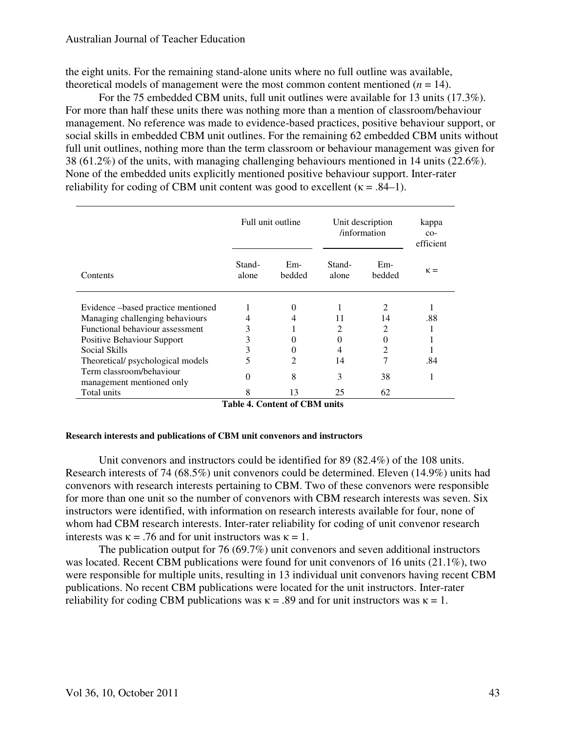## Australian Journal of Teacher Education

the eight units. For the remaining stand-alone units where no full outline was available, theoretical models of management were the most common content mentioned  $(n = 14)$ .

For the 75 embedded CBM units, full unit outlines were available for 13 units (17.3%). For more than half these units there was nothing more than a mention of classroom/behaviour management. No reference was made to evidence-based practices, positive behaviour support, or social skills in embedded CBM unit outlines. For the remaining 62 embedded CBM units without full unit outlines, nothing more than the term classroom or behaviour management was given for 38 (61.2%) of the units, with managing challenging behaviours mentioned in 14 units (22.6%). None of the embedded units explicitly mentioned positive behaviour support. Inter-rater reliability for coding of CBM unit content was good to excellent ( $\kappa = .84-1$ ).

|                                                       | Full unit outline |               | Unit description<br>/information |                             | kappa<br>$CO-$<br>efficient |
|-------------------------------------------------------|-------------------|---------------|----------------------------------|-----------------------------|-----------------------------|
| Contents                                              | Stand-<br>alone   | Em-<br>bedded | Stand-<br>alone                  | Em-<br>bedded               | $\kappa =$                  |
| Evidence -based practice mentioned                    |                   | $\Omega$      |                                  | $\mathcal{D}_{\mathcal{L}}$ |                             |
| Managing challenging behaviours                       |                   | 4             | 11                               | 14                          | .88                         |
| Functional behaviour assessment                       | 3                 |               | 2                                | 2                           |                             |
| Positive Behaviour Support                            | 3                 |               |                                  |                             |                             |
| Social Skills                                         | 3                 |               | 4                                | $\mathfrak{D}$              |                             |
| Theoretical/ psychological models                     | 5                 | 2             | 14                               |                             | .84                         |
| Term classroom/behaviour<br>management mentioned only |                   | 8             | 3                                | 38                          |                             |
| Total units                                           | -- - -<br>$\sim$  | 13<br>0.0225  | 25                               | 62                          |                             |

**Table 4. Content of CBM units** 

## **Research interests and publications of CBM unit convenors and instructors**

Unit convenors and instructors could be identified for 89 (82.4%) of the 108 units. Research interests of 74 (68.5%) unit convenors could be determined. Eleven (14.9%) units had convenors with research interests pertaining to CBM. Two of these convenors were responsible for more than one unit so the number of convenors with CBM research interests was seven. Six instructors were identified, with information on research interests available for four, none of whom had CBM research interests. Inter-rater reliability for coding of unit convenor research interests was  $\kappa = .76$  and for unit instructors was  $\kappa = 1$ .

 The publication output for 76 (69.7%) unit convenors and seven additional instructors was located. Recent CBM publications were found for unit convenors of 16 units (21.1%), two were responsible for multiple units, resulting in 13 individual unit convenors having recent CBM publications. No recent CBM publications were located for the unit instructors. Inter-rater reliability for coding CBM publications was  $\kappa = .89$  and for unit instructors was  $\kappa = 1$ .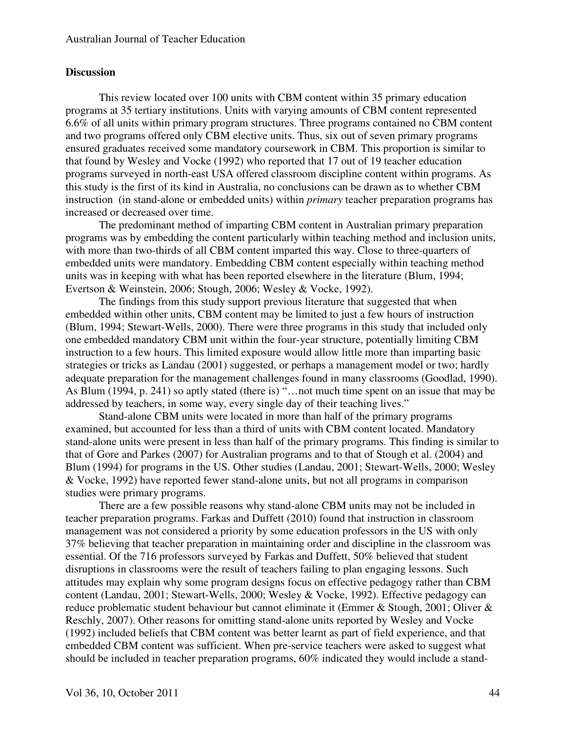## **Discussion**

This review located over 100 units with CBM content within 35 primary education programs at 35 tertiary institutions. Units with varying amounts of CBM content represented 6.6% of all units within primary program structures. Three programs contained no CBM content and two programs offered only CBM elective units. Thus, six out of seven primary programs ensured graduates received some mandatory coursework in CBM. This proportion is similar to that found by Wesley and Vocke (1992) who reported that 17 out of 19 teacher education programs surveyed in north-east USA offered classroom discipline content within programs. As this study is the first of its kind in Australia, no conclusions can be drawn as to whether CBM instruction (in stand-alone or embedded units) within *primary* teacher preparation programs has increased or decreased over time.

The predominant method of imparting CBM content in Australian primary preparation programs was by embedding the content particularly within teaching method and inclusion units, with more than two-thirds of all CBM content imparted this way. Close to three-quarters of embedded units were mandatory. Embedding CBM content especially within teaching method units was in keeping with what has been reported elsewhere in the literature (Blum, 1994; Evertson & Weinstein, 2006; Stough, 2006; Wesley & Vocke, 1992).

The findings from this study support previous literature that suggested that when embedded within other units, CBM content may be limited to just a few hours of instruction (Blum, 1994; Stewart-Wells, 2000). There were three programs in this study that included only one embedded mandatory CBM unit within the four-year structure, potentially limiting CBM instruction to a few hours. This limited exposure would allow little more than imparting basic strategies or tricks as Landau (2001) suggested, or perhaps a management model or two; hardly adequate preparation for the management challenges found in many classrooms (Goodlad, 1990). As Blum (1994, p. 241) so aptly stated (there is) "…not much time spent on an issue that may be addressed by teachers, in some way, every single day of their teaching lives."

Stand-alone CBM units were located in more than half of the primary programs examined, but accounted for less than a third of units with CBM content located. Mandatory stand-alone units were present in less than half of the primary programs. This finding is similar to that of Gore and Parkes (2007) for Australian programs and to that of Stough et al. (2004) and Blum (1994) for programs in the US. Other studies (Landau, 2001; Stewart-Wells, 2000; Wesley & Vocke, 1992) have reported fewer stand-alone units, but not all programs in comparison studies were primary programs.

There are a few possible reasons why stand-alone CBM units may not be included in teacher preparation programs. Farkas and Duffett (2010) found that instruction in classroom management was not considered a priority by some education professors in the US with only 37% believing that teacher preparation in maintaining order and discipline in the classroom was essential. Of the 716 professors surveyed by Farkas and Duffett, 50% believed that student disruptions in classrooms were the result of teachers failing to plan engaging lessons. Such attitudes may explain why some program designs focus on effective pedagogy rather than CBM content (Landau, 2001; Stewart-Wells, 2000; Wesley & Vocke, 1992). Effective pedagogy can reduce problematic student behaviour but cannot eliminate it (Emmer & Stough, 2001; Oliver & Reschly, 2007). Other reasons for omitting stand-alone units reported by Wesley and Vocke (1992) included beliefs that CBM content was better learnt as part of field experience, and that embedded CBM content was sufficient. When pre-service teachers were asked to suggest what should be included in teacher preparation programs, 60% indicated they would include a stand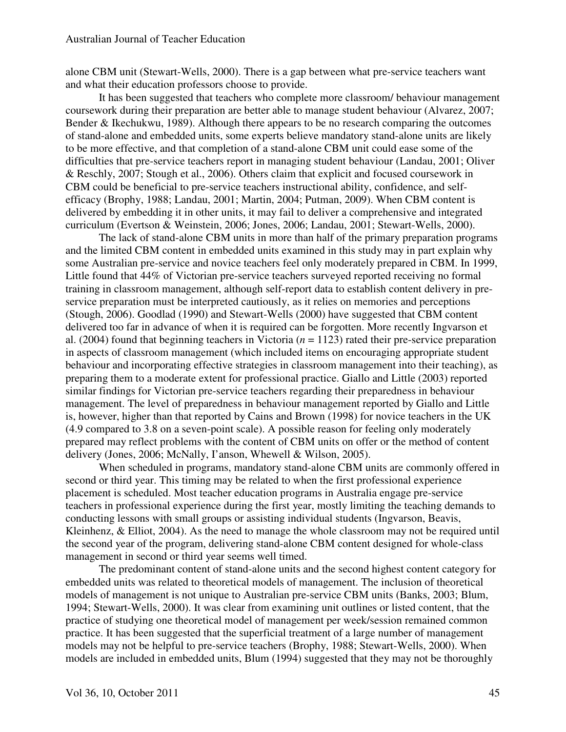alone CBM unit (Stewart-Wells, 2000). There is a gap between what pre-service teachers want and what their education professors choose to provide.

It has been suggested that teachers who complete more classroom/ behaviour management coursework during their preparation are better able to manage student behaviour (Alvarez, 2007; Bender & Ikechukwu, 1989). Although there appears to be no research comparing the outcomes of stand-alone and embedded units, some experts believe mandatory stand-alone units are likely to be more effective, and that completion of a stand-alone CBM unit could ease some of the difficulties that pre-service teachers report in managing student behaviour (Landau, 2001; Oliver & Reschly, 2007; Stough et al., 2006). Others claim that explicit and focused coursework in CBM could be beneficial to pre-service teachers instructional ability, confidence, and selfefficacy (Brophy, 1988; Landau, 2001; Martin, 2004; Putman, 2009). When CBM content is delivered by embedding it in other units, it may fail to deliver a comprehensive and integrated curriculum (Evertson & Weinstein, 2006; Jones, 2006; Landau, 2001; Stewart-Wells, 2000).

The lack of stand-alone CBM units in more than half of the primary preparation programs and the limited CBM content in embedded units examined in this study may in part explain why some Australian pre-service and novice teachers feel only moderately prepared in CBM. In 1999, Little found that 44% of Victorian pre-service teachers surveyed reported receiving no formal training in classroom management, although self-report data to establish content delivery in preservice preparation must be interpreted cautiously, as it relies on memories and perceptions (Stough, 2006). Goodlad (1990) and Stewart-Wells (2000) have suggested that CBM content delivered too far in advance of when it is required can be forgotten. More recently Ingvarson et al. (2004) found that beginning teachers in Victoria (*n* = 1123) rated their pre-service preparation in aspects of classroom management (which included items on encouraging appropriate student behaviour and incorporating effective strategies in classroom management into their teaching), as preparing them to a moderate extent for professional practice. Giallo and Little (2003) reported similar findings for Victorian pre-service teachers regarding their preparedness in behaviour management. The level of preparedness in behaviour management reported by Giallo and Little is, however, higher than that reported by Cains and Brown (1998) for novice teachers in the UK (4.9 compared to 3.8 on a seven-point scale). A possible reason for feeling only moderately prepared may reflect problems with the content of CBM units on offer or the method of content delivery (Jones, 2006; McNally, I'anson, Whewell & Wilson, 2005).

When scheduled in programs, mandatory stand-alone CBM units are commonly offered in second or third year. This timing may be related to when the first professional experience placement is scheduled. Most teacher education programs in Australia engage pre-service teachers in professional experience during the first year, mostly limiting the teaching demands to conducting lessons with small groups or assisting individual students (Ingvarson, Beavis, Kleinhenz, & Elliot, 2004). As the need to manage the whole classroom may not be required until the second year of the program, delivering stand-alone CBM content designed for whole-class management in second or third year seems well timed.

The predominant content of stand-alone units and the second highest content category for embedded units was related to theoretical models of management. The inclusion of theoretical models of management is not unique to Australian pre-service CBM units (Banks, 2003; Blum, 1994; Stewart-Wells, 2000). It was clear from examining unit outlines or listed content, that the practice of studying one theoretical model of management per week/session remained common practice. It has been suggested that the superficial treatment of a large number of management models may not be helpful to pre-service teachers (Brophy, 1988; Stewart-Wells, 2000). When models are included in embedded units, Blum (1994) suggested that they may not be thoroughly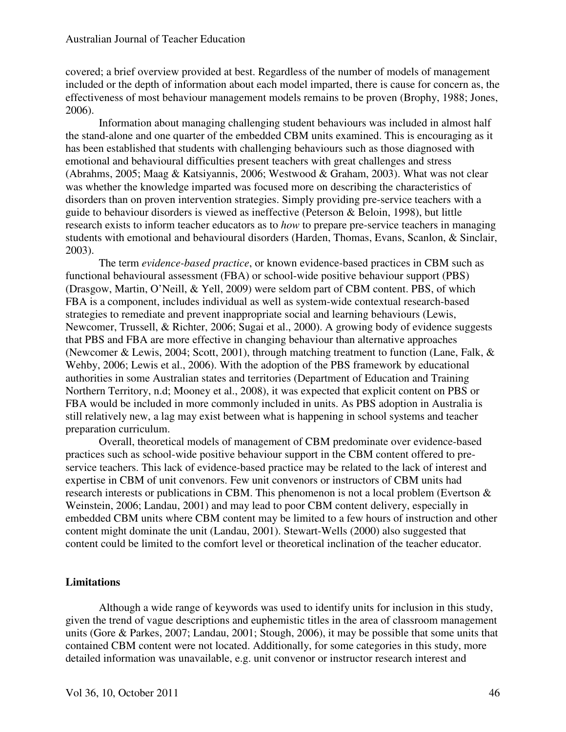covered; a brief overview provided at best. Regardless of the number of models of management included or the depth of information about each model imparted, there is cause for concern as, the effectiveness of most behaviour management models remains to be proven (Brophy, 1988; Jones, 2006).

Information about managing challenging student behaviours was included in almost half the stand-alone and one quarter of the embedded CBM units examined. This is encouraging as it has been established that students with challenging behaviours such as those diagnosed with emotional and behavioural difficulties present teachers with great challenges and stress (Abrahms, 2005; Maag & Katsiyannis, 2006; Westwood & Graham, 2003). What was not clear was whether the knowledge imparted was focused more on describing the characteristics of disorders than on proven intervention strategies. Simply providing pre-service teachers with a guide to behaviour disorders is viewed as ineffective (Peterson & Beloin, 1998), but little research exists to inform teacher educators as to *how* to prepare pre-service teachers in managing students with emotional and behavioural disorders (Harden, Thomas, Evans, Scanlon, & Sinclair, 2003).

The term *evidence-based practice*, or known evidence-based practices in CBM such as functional behavioural assessment (FBA) or school-wide positive behaviour support (PBS) (Drasgow, Martin, O'Neill, & Yell, 2009) were seldom part of CBM content. PBS, of which FBA is a component, includes individual as well as system-wide contextual research-based strategies to remediate and prevent inappropriate social and learning behaviours (Lewis, Newcomer, Trussell, & Richter, 2006; Sugai et al., 2000). A growing body of evidence suggests that PBS and FBA are more effective in changing behaviour than alternative approaches (Newcomer & Lewis, 2004; Scott, 2001), through matching treatment to function (Lane, Falk, & Wehby, 2006; Lewis et al., 2006). With the adoption of the PBS framework by educational authorities in some Australian states and territories (Department of Education and Training Northern Territory, n.d; Mooney et al., 2008), it was expected that explicit content on PBS or FBA would be included in more commonly included in units. As PBS adoption in Australia is still relatively new, a lag may exist between what is happening in school systems and teacher preparation curriculum.

Overall, theoretical models of management of CBM predominate over evidence-based practices such as school-wide positive behaviour support in the CBM content offered to preservice teachers. This lack of evidence-based practice may be related to the lack of interest and expertise in CBM of unit convenors. Few unit convenors or instructors of CBM units had research interests or publications in CBM. This phenomenon is not a local problem (Evertson & Weinstein, 2006; Landau, 2001) and may lead to poor CBM content delivery, especially in embedded CBM units where CBM content may be limited to a few hours of instruction and other content might dominate the unit (Landau, 2001). Stewart-Wells (2000) also suggested that content could be limited to the comfort level or theoretical inclination of the teacher educator.

## **Limitations**

Although a wide range of keywords was used to identify units for inclusion in this study, given the trend of vague descriptions and euphemistic titles in the area of classroom management units (Gore & Parkes, 2007; Landau, 2001; Stough, 2006), it may be possible that some units that contained CBM content were not located. Additionally, for some categories in this study, more detailed information was unavailable, e.g. unit convenor or instructor research interest and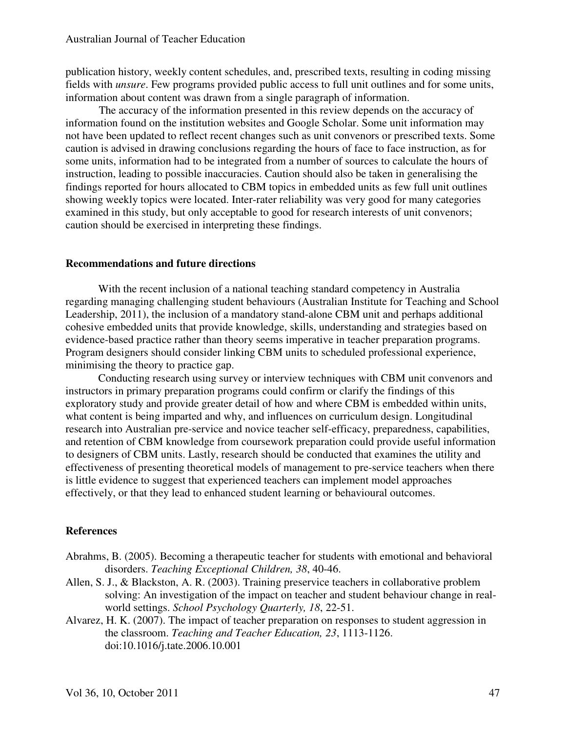publication history, weekly content schedules, and, prescribed texts, resulting in coding missing fields with *unsure*. Few programs provided public access to full unit outlines and for some units, information about content was drawn from a single paragraph of information.

The accuracy of the information presented in this review depends on the accuracy of information found on the institution websites and Google Scholar. Some unit information may not have been updated to reflect recent changes such as unit convenors or prescribed texts. Some caution is advised in drawing conclusions regarding the hours of face to face instruction, as for some units, information had to be integrated from a number of sources to calculate the hours of instruction, leading to possible inaccuracies. Caution should also be taken in generalising the findings reported for hours allocated to CBM topics in embedded units as few full unit outlines showing weekly topics were located. Inter-rater reliability was very good for many categories examined in this study, but only acceptable to good for research interests of unit convenors; caution should be exercised in interpreting these findings.

## **Recommendations and future directions**

With the recent inclusion of a national teaching standard competency in Australia regarding managing challenging student behaviours (Australian Institute for Teaching and School Leadership, 2011), the inclusion of a mandatory stand-alone CBM unit and perhaps additional cohesive embedded units that provide knowledge, skills, understanding and strategies based on evidence-based practice rather than theory seems imperative in teacher preparation programs. Program designers should consider linking CBM units to scheduled professional experience, minimising the theory to practice gap.

Conducting research using survey or interview techniques with CBM unit convenors and instructors in primary preparation programs could confirm or clarify the findings of this exploratory study and provide greater detail of how and where CBM is embedded within units, what content is being imparted and why, and influences on curriculum design. Longitudinal research into Australian pre-service and novice teacher self-efficacy, preparedness, capabilities, and retention of CBM knowledge from coursework preparation could provide useful information to designers of CBM units. Lastly, research should be conducted that examines the utility and effectiveness of presenting theoretical models of management to pre-service teachers when there is little evidence to suggest that experienced teachers can implement model approaches effectively, or that they lead to enhanced student learning or behavioural outcomes.

## **References**

- Abrahms, B. (2005). Becoming a therapeutic teacher for students with emotional and behavioral disorders. *Teaching Exceptional Children, 38*, 40-46.
- Allen, S. J., & Blackston, A. R. (2003). Training preservice teachers in collaborative problem solving: An investigation of the impact on teacher and student behaviour change in realworld settings. *School Psychology Quarterly, 18*, 22-51.
- Alvarez, H. K. (2007). The impact of teacher preparation on responses to student aggression in the classroom. *Teaching and Teacher Education, 23*, 1113-1126. doi:10.1016/j.tate.2006.10.001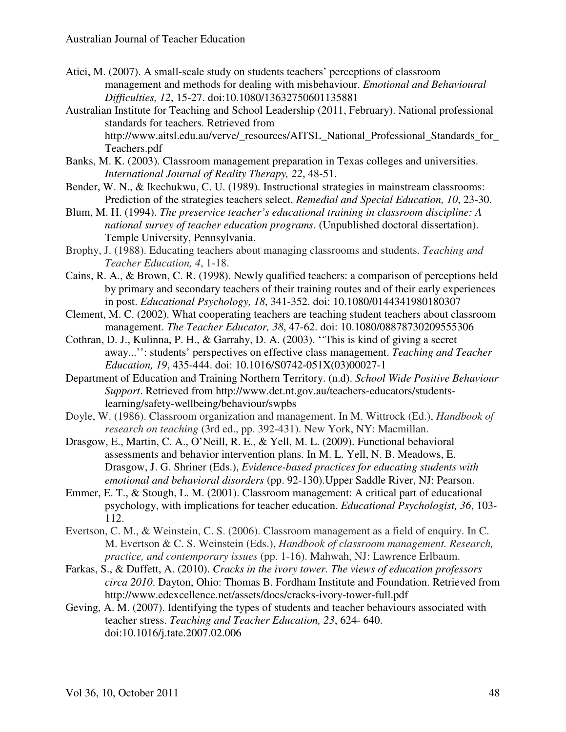- Atici, M. (2007). A small-scale study on students teachers' perceptions of classroom management and methods for dealing with misbehaviour. *Emotional and Behavioural Difficulties, 12*, 15-27. doi:10.1080/13632750601135881
- Australian Institute for Teaching and School Leadership (2011, February). National professional standards for teachers. Retrieved from http://www.aitsl.edu.au/verve/\_resources/AITSL\_National\_Professional\_Standards\_for\_ Teachers.pdf
- Banks, M. K. (2003). Classroom management preparation in Texas colleges and universities. *International Journal of Reality Therapy, 22*, 48-51.
- Bender, W. N., & Ikechukwu, C. U. (1989). Instructional strategies in mainstream classrooms: Prediction of the strategies teachers select. *Remedial and Special Education, 10*, 23-30.
- Blum, M. H. (1994). *The preservice teacher's educational training in classroom discipline: A national survey of teacher education programs*. (Unpublished doctoral dissertation). Temple University, Pennsylvania.
- Brophy, J. (1988). Educating teachers about managing classrooms and students. *Teaching and Teacher Education, 4*, 1-18.
- Cains, R. A., & Brown, C. R. (1998). Newly qualified teachers: a comparison of perceptions held by primary and secondary teachers of their training routes and of their early experiences in post. *Educational Psychology, 18*, 341-352. doi: 10.1080/0144341980180307
- Clement, M. C. (2002). What cooperating teachers are teaching student teachers about classroom management. *The Teacher Educator, 38*, 47-62. doi: 10.1080/08878730209555306
- Cothran, D. J., Kulinna, P. H., & Garrahy, D. A. (2003). ''This is kind of giving a secret away...'': students' perspectives on effective class management. *Teaching and Teacher Education, 19*, 435-444. doi: 10.1016/S0742-051X(03)00027-1
- Department of Education and Training Northern Territory. (n.d). *School Wide Positive Behaviour Support*. Retrieved from http://www.det.nt.gov.au/teachers-educators/studentslearning/safety-wellbeing/behaviour/swpbs
- Doyle, W. (1986). Classroom organization and management. In M. Wittrock (Ed.), *Handbook of research on teaching* (3rd ed., pp. 392-431). New York, NY: Macmillan.
- Drasgow, E., Martin, C. A., O'Neill, R. E., & Yell, M. L. (2009). Functional behavioral assessments and behavior intervention plans. In M. L. Yell, N. B. Meadows, E. Drasgow, J. G. Shriner (Eds.), *Evidence-based practices for educating students with emotional and behavioral disorders* (pp. 92-130).Upper Saddle River, NJ: Pearson.
- Emmer, E. T., & Stough, L. M. (2001). Classroom management: A critical part of educational psychology, with implications for teacher education. *Educational Psychologist, 36*, 103- 112.
- Evertson, C. M., & Weinstein, C. S. (2006). Classroom management as a field of enquiry. In C. M. Evertson & C. S. Weinstein (Eds.), *Handbook of classroom management. Research, practice, and contemporary issues* (pp. 1-16). Mahwah, NJ: Lawrence Erlbaum.
- Farkas, S., & Duffett, A. (2010). *Cracks in the ivory tower. The views of education professors circa 2010*. Dayton, Ohio: Thomas B. Fordham Institute and Foundation. Retrieved from http://www.edexcellence.net/assets/docs/cracks-ivory-tower-full.pdf
- Geving, A. M. (2007). Identifying the types of students and teacher behaviours associated with teacher stress. *Teaching and Teacher Education, 23*, 624- 640. doi:10.1016/j.tate.2007.02.006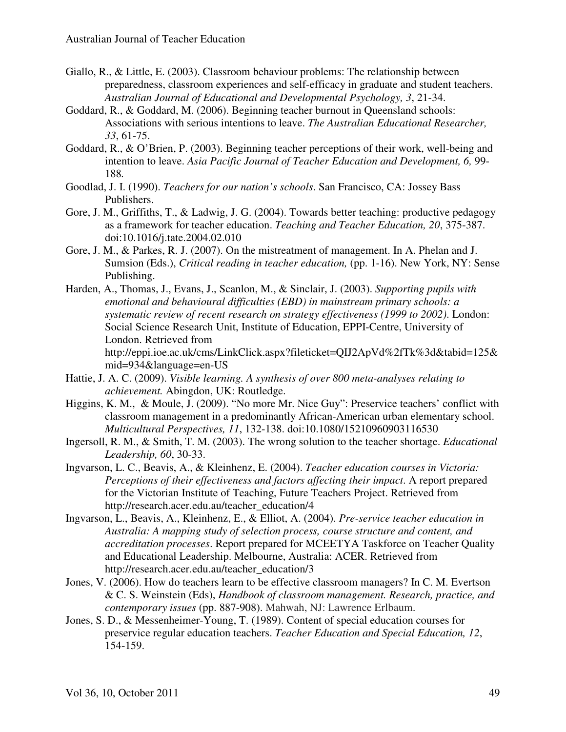- Giallo, R., & Little, E. (2003). Classroom behaviour problems: The relationship between preparedness, classroom experiences and self-efficacy in graduate and student teachers. *Australian Journal of Educational and Developmental Psychology, 3*, 21-34.
- Goddard, R., & Goddard, M. (2006). Beginning teacher burnout in Queensland schools: Associations with serious intentions to leave. *The Australian Educational Researcher, 33*, 61-75.
- Goddard, R., & O'Brien, P. (2003). Beginning teacher perceptions of their work, well-being and intention to leave. *Asia Pacific Journal of Teacher Education and Development, 6,* 99- 188*.*
- Goodlad, J. I. (1990). *Teachers for our nation's schools*. San Francisco, CA: Jossey Bass Publishers.
- Gore, J. M., Griffiths, T., & Ladwig, J. G. (2004). Towards better teaching: productive pedagogy as a framework for teacher education. *Teaching and Teacher Education, 20*, 375-387. doi:10.1016/j.tate.2004.02.010
- Gore, J. M., & Parkes, R. J. (2007). On the mistreatment of management. In A. Phelan and J. Sumsion (Eds.), *Critical reading in teacher education,* (pp. 1-16). New York, NY: Sense Publishing.
- Harden, A., Thomas, J., Evans, J., Scanlon, M., & Sinclair, J. (2003). *Supporting pupils with emotional and behavioural difficulties (EBD) in mainstream primary schools: a systematic review of recent research on strategy effectiveness (1999 to 2002)*. London: Social Science Research Unit, Institute of Education, EPPI-Centre, University of London. Retrieved from http://eppi.ioe.ac.uk/cms/LinkClick.aspx?fileticket=QIJ2ApVd%2fTk%3d&tabid=125& mid=934&language=en-US
- Hattie, J. A. C. (2009). *Visible learning. A synthesis of over 800 meta-analyses relating to achievement.* Abingdon, UK: Routledge.
- Higgins, K. M., & Moule, J. (2009). "No more Mr. Nice Guy": Preservice teachers' conflict with classroom management in a predominantly African-American urban elementary school. *Multicultural Perspectives, 11*, 132-138. doi:10.1080/15210960903116530
- Ingersoll, R. M., & Smith, T. M. (2003). The wrong solution to the teacher shortage. *Educational Leadership, 60*, 30-33.
- Ingvarson, L. C., Beavis, A., & Kleinhenz, E. (2004). *Teacher education courses in Victoria: Perceptions of their effectiveness and factors affecting their impact*. A report prepared for the Victorian Institute of Teaching, Future Teachers Project. Retrieved from http://research.acer.edu.au/teacher\_education/4
- Ingvarson, L., Beavis, A., Kleinhenz, E., & Elliot, A. (2004). *Pre-service teacher education in Australia: A mapping study of selection process, course structure and content, and accreditation processes*. Report prepared for MCEETYA Taskforce on Teacher Quality and Educational Leadership. Melbourne, Australia: ACER. Retrieved from http://research.acer.edu.au/teacher\_education/3
- Jones, V. (2006). How do teachers learn to be effective classroom managers? In C. M. Evertson & C. S. Weinstein (Eds), *Handbook of classroom management. Research, practice, and contemporary issues* (pp. 887-908). Mahwah, NJ: Lawrence Erlbaum.
- Jones, S. D., & Messenheimer-Young, T. (1989). Content of special education courses for preservice regular education teachers. *Teacher Education and Special Education, 12*, 154-159.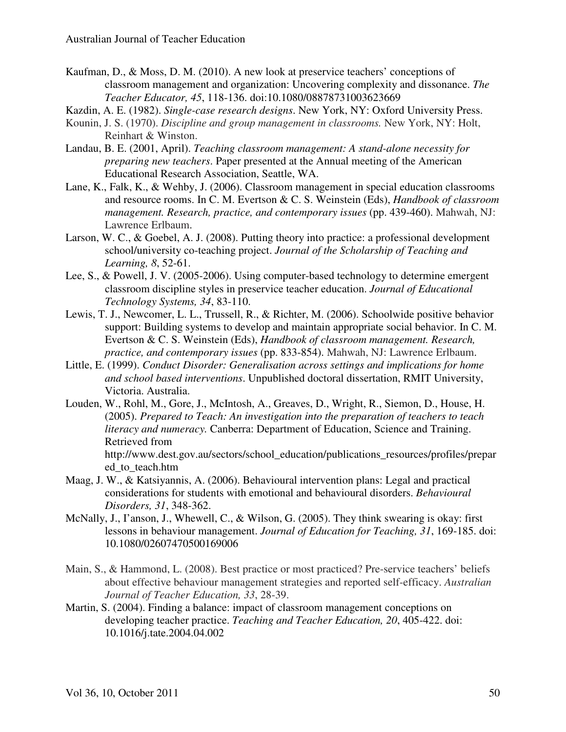- Kaufman, D., & Moss, D. M. (2010). A new look at preservice teachers' conceptions of classroom management and organization: Uncovering complexity and dissonance. *The Teacher Educator, 45*, 118-136. doi:10.1080/08878731003623669
- Kazdin, A. E. (1982). *Single-case research designs*. New York, NY: Oxford University Press.
- Kounin, J. S. (1970). *Discipline and group management in classrooms.* New York, NY: Holt, Reinhart & Winston.
- Landau, B. E. (2001, April). *Teaching classroom management: A stand-alone necessity for preparing new teachers*. Paper presented at the Annual meeting of the American Educational Research Association, Seattle, WA.
- Lane, K., Falk, K., & Wehby, J. (2006). Classroom management in special education classrooms and resource rooms. In C. M. Evertson & C. S. Weinstein (Eds), *Handbook of classroom management. Research, practice, and contemporary issues* (pp. 439-460). Mahwah, NJ: Lawrence Erlbaum.
- Larson, W. C., & Goebel, A. J. (2008). Putting theory into practice: a professional development school/university co-teaching project. *Journal of the Scholarship of Teaching and Learning, 8*, 52-61.
- Lee, S., & Powell, J. V. (2005-2006). Using computer-based technology to determine emergent classroom discipline styles in preservice teacher education. *Journal of Educational Technology Systems, 34*, 83-110.
- Lewis, T. J., Newcomer, L. L., Trussell, R., & Richter, M. (2006). Schoolwide positive behavior support: Building systems to develop and maintain appropriate social behavior. In C. M. Evertson & C. S. Weinstein (Eds), *Handbook of classroom management. Research, practice, and contemporary issues* (pp. 833-854). Mahwah, NJ: Lawrence Erlbaum.
- Little, E. (1999). *Conduct Disorder: Generalisation across settings and implications for home and school based interventions*. Unpublished doctoral dissertation, RMIT University, Victoria. Australia.
- Louden, W., Rohl, M., Gore, J., McIntosh, A., Greaves, D., Wright, R., Siemon, D., House, H. (2005). *Prepared to Teach: An investigation into the preparation of teachers to teach literacy and numeracy.* Canberra: Department of Education, Science and Training. Retrieved from http://www.dest.gov.au/sectors/school\_education/publications\_resources/profiles/prepar ed\_to\_teach.htm
- Maag, J. W., & Katsiyannis, A. (2006). Behavioural intervention plans: Legal and practical considerations for students with emotional and behavioural disorders. *Behavioural Disorders, 31*, 348-362.
- McNally, J., I'anson, J., Whewell, C., & Wilson, G. (2005). They think swearing is okay: first lessons in behaviour management. *Journal of Education for Teaching, 31*, 169-185. doi: 10.1080/02607470500169006
- Main, S., & Hammond, L. (2008). Best practice or most practiced? Pre-service teachers' beliefs about effective behaviour management strategies and reported self-efficacy. *Australian Journal of Teacher Education, 33*, 28-39.
- Martin, S. (2004). Finding a balance: impact of classroom management conceptions on developing teacher practice. *Teaching and Teacher Education, 20*, 405-422. doi: 10.1016/j.tate.2004.04.002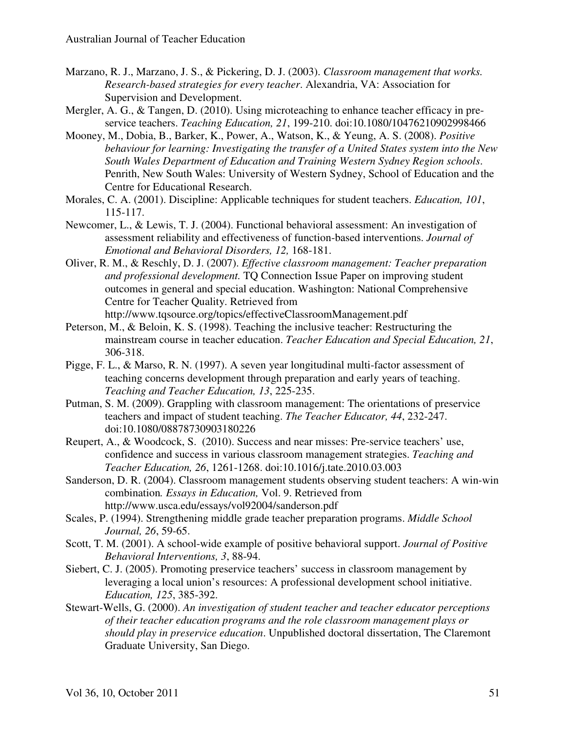- Marzano, R. J., Marzano, J. S., & Pickering, D. J. (2003). *Classroom management that works. Research-based strategies for every teacher*. Alexandria, VA: Association for Supervision and Development.
- Mergler, A. G., & Tangen, D. (2010). Using microteaching to enhance teacher efficacy in preservice teachers. *Teaching Education, 21*, 199-210. doi:10.1080/10476210902998466
- Mooney, M., Dobia, B., Barker, K., Power, A., Watson, K., & Yeung, A. S. (2008). *Positive behaviour for learning: Investigating the transfer of a United States system into the New South Wales Department of Education and Training Western Sydney Region schools*. Penrith, New South Wales: University of Western Sydney, School of Education and the Centre for Educational Research.
- Morales, C. A. (2001). Discipline: Applicable techniques for student teachers. *Education, 101*, 115-117.
- Newcomer, L., & Lewis, T. J. (2004). Functional behavioral assessment: An investigation of assessment reliability and effectiveness of function-based interventions. *Journal of Emotional and Behavioral Disorders, 12,* 168-181.
- Oliver, R. M., & Reschly, D. J. (2007). *Effective classroom management: Teacher preparation and professional development.* TQ Connection Issue Paper on improving student outcomes in general and special education. Washington: National Comprehensive Centre for Teacher Quality. Retrieved from

http://www.tqsource.org/topics/effectiveClassroomManagement.pdf

- Peterson, M., & Beloin, K. S. (1998). Teaching the inclusive teacher: Restructuring the mainstream course in teacher education. *Teacher Education and Special Education, 21*, 306-318.
- Pigge, F. L., & Marso, R. N. (1997). A seven year longitudinal multi-factor assessment of teaching concerns development through preparation and early years of teaching. *Teaching and Teacher Education, 13*, 225-235.
- Putman, S. M. (2009). Grappling with classroom management: The orientations of preservice teachers and impact of student teaching. *The Teacher Educator, 44*, 232-247. doi:10.1080/08878730903180226
- Reupert, A., & Woodcock, S. (2010). Success and near misses: Pre-service teachers' use, confidence and success in various classroom management strategies. *Teaching and Teacher Education, 26*, 1261-1268. doi:10.1016/j.tate.2010.03.003
- Sanderson, D. R. (2004). Classroom management students observing student teachers: A win-win combination*. Essays in Education,* Vol. 9. Retrieved from http://www.usca.edu/essays/vol92004/sanderson.pdf
- Scales, P. (1994). Strengthening middle grade teacher preparation programs. *Middle School Journal, 26*, 59-65.
- Scott, T. M. (2001). A school-wide example of positive behavioral support. *Journal of Positive Behavioral Interventions, 3*, 88-94.
- Siebert, C. J. (2005). Promoting preservice teachers' success in classroom management by leveraging a local union's resources: A professional development school initiative. *Education, 125*, 385-392.
- Stewart-Wells, G. (2000). *An investigation of student teacher and teacher educator perceptions of their teacher education programs and the role classroom management plays or should play in preservice education*. Unpublished doctoral dissertation, The Claremont Graduate University, San Diego.